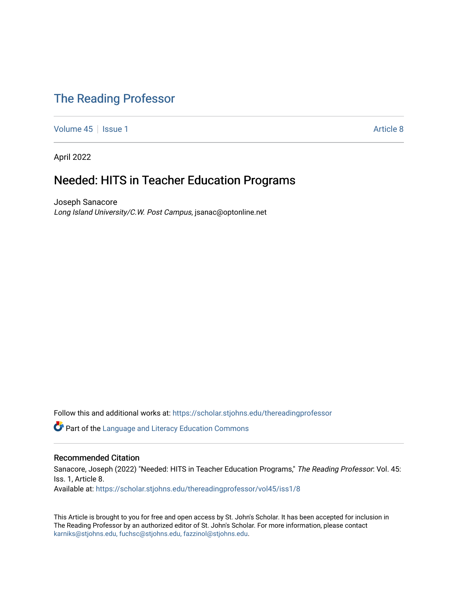## [The Reading Professor](https://scholar.stjohns.edu/thereadingprofessor)

[Volume 45](https://scholar.stjohns.edu/thereadingprofessor/vol45) | [Issue 1](https://scholar.stjohns.edu/thereadingprofessor/vol45/iss1) Article 8

April 2022

## Needed: HITS in Teacher Education Programs

Joseph Sanacore Long Island University/C.W. Post Campus, jsanac@optonline.net

Follow this and additional works at: [https://scholar.stjohns.edu/thereadingprofessor](https://scholar.stjohns.edu/thereadingprofessor?utm_source=scholar.stjohns.edu%2Fthereadingprofessor%2Fvol45%2Fiss1%2F8&utm_medium=PDF&utm_campaign=PDFCoverPages) 

**C** Part of the Language and Literacy Education Commons

#### Recommended Citation

Sanacore, Joseph (2022) "Needed: HITS in Teacher Education Programs," The Reading Professor. Vol. 45: Iss. 1, Article 8. Available at: [https://scholar.stjohns.edu/thereadingprofessor/vol45/iss1/8](https://scholar.stjohns.edu/thereadingprofessor/vol45/iss1/8?utm_source=scholar.stjohns.edu%2Fthereadingprofessor%2Fvol45%2Fiss1%2F8&utm_medium=PDF&utm_campaign=PDFCoverPages) 

This Article is brought to you for free and open access by St. John's Scholar. It has been accepted for inclusion in The Reading Professor by an authorized editor of St. John's Scholar. For more information, please contact [karniks@stjohns.edu, fuchsc@stjohns.edu, fazzinol@stjohns.edu](mailto:karniks@stjohns.edu,%20fuchsc@stjohns.edu,%20fazzinol@stjohns.edu).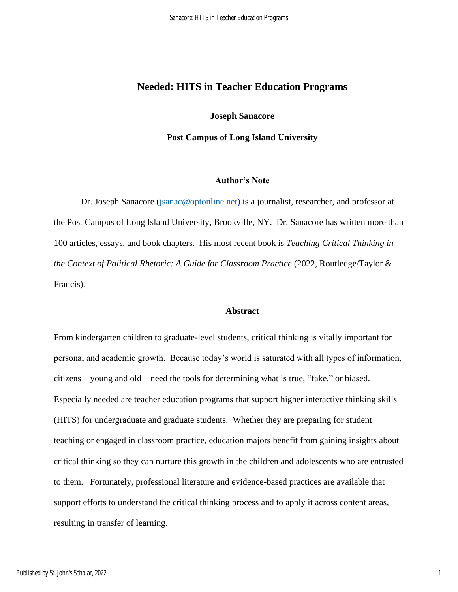## **Needed: HITS in Teacher Education Programs**

#### **Joseph Sanacore**

**Post Campus of Long Island University**

#### **Author's Note**

Dr. Joseph Sanacore [\(jsanac@optonline.net\)](mailto:jsanac@optonline.net) is a journalist, researcher, and professor at the Post Campus of Long Island University, Brookville, NY. Dr. Sanacore has written more than 100 articles, essays, and book chapters. His most recent book is *Teaching Critical Thinking in the Context of Political Rhetoric: A Guide for Classroom Practice (2022, Routledge/Taylor &* Francis).

#### **Abstract**

From kindergarten children to graduate-level students, critical thinking is vitally important for personal and academic growth. Because today's world is saturated with all types of information, citizens—young and old—need the tools for determining what is true, "fake," or biased. Especially needed are teacher education programs that support higher interactive thinking skills (HITS) for undergraduate and graduate students. Whether they are preparing for student teaching or engaged in classroom practice, education majors benefit from gaining insights about critical thinking so they can nurture this growth in the children and adolescents who are entrusted to them. Fortunately, professional literature and evidence-based practices are available that support efforts to understand the critical thinking process and to apply it across content areas, resulting in transfer of learning.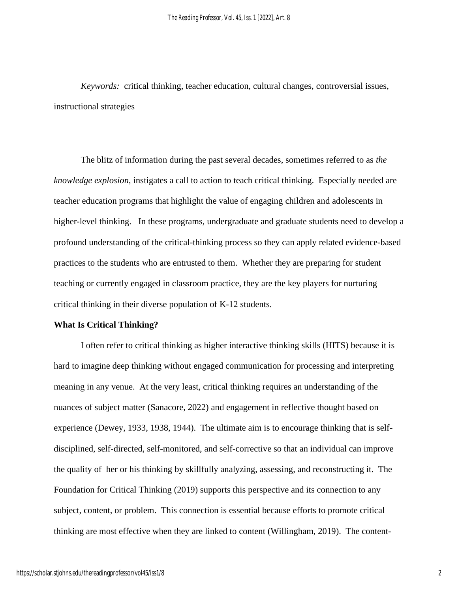*Keywords:* critical thinking, teacher education, cultural changes, controversial issues, instructional strategies

The blitz of information during the past several decades, sometimes referred to as *the knowledge explosion*, instigates a call to action to teach critical thinking. Especially needed are teacher education programs that highlight the value of engaging children and adolescents in higher-level thinking. In these programs, undergraduate and graduate students need to develop a profound understanding of the critical-thinking process so they can apply related evidence-based practices to the students who are entrusted to them. Whether they are preparing for student teaching or currently engaged in classroom practice, they are the key players for nurturing critical thinking in their diverse population of K-12 students.

### **What Is Critical Thinking?**

I often refer to critical thinking as higher interactive thinking skills (HITS) because it is hard to imagine deep thinking without engaged communication for processing and interpreting meaning in any venue. At the very least, critical thinking requires an understanding of the nuances of subject matter (Sanacore, 2022) and engagement in reflective thought based on experience (Dewey, 1933, 1938, 1944). The ultimate aim is to encourage thinking that is selfdisciplined, self-directed, self-monitored, and self-corrective so that an individual can improve the quality of her or his thinking by skillfully analyzing, assessing, and reconstructing it. The Foundation for Critical Thinking (2019) supports this perspective and its connection to any subject, content, or problem. This connection is essential because efforts to promote critical thinking are most effective when they are linked to content (Willingham, 2019). The content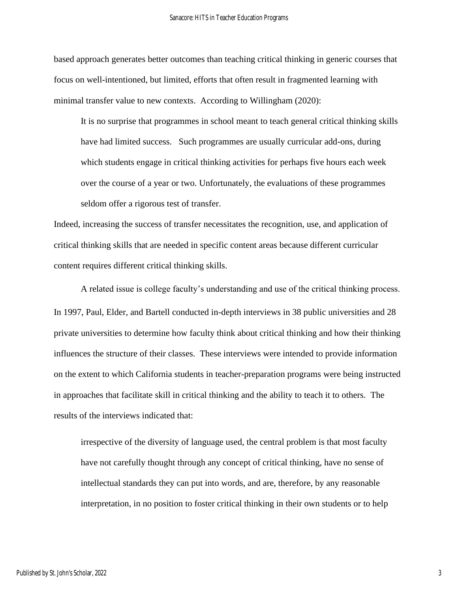based approach generates better outcomes than teaching critical thinking in generic courses that focus on well-intentioned, but limited, efforts that often result in fragmented learning with minimal transfer value to new contexts. According to Willingham (2020):

It is no surprise that programmes in school meant to teach general critical thinking skills have had limited success. Such programmes are usually curricular add-ons, during which students engage in critical thinking activities for perhaps five hours each week over the course of a year or two. Unfortunately, the evaluations of these programmes seldom offer a rigorous test of transfer.

Indeed, increasing the success of transfer necessitates the recognition, use, and application of critical thinking skills that are needed in specific content areas because different curricular content requires different critical thinking skills.

A related issue is college faculty's understanding and use of the critical thinking process. In 1997, Paul, Elder, and Bartell conducted in-depth interviews in 38 public universities and 28 private universities to determine how faculty think about critical thinking and how their thinking influences the structure of their classes. These interviews were intended to provide information on the extent to which California students in teacher-preparation programs were being instructed in approaches that facilitate skill in critical thinking and the ability to teach it to others. The results of the interviews indicated that:

irrespective of the diversity of language used, the central problem is that most faculty have not carefully thought through any concept of critical thinking, have no sense of intellectual standards they can put into words, and are, therefore, by any reasonable interpretation, in no position to foster critical thinking in their own students or to help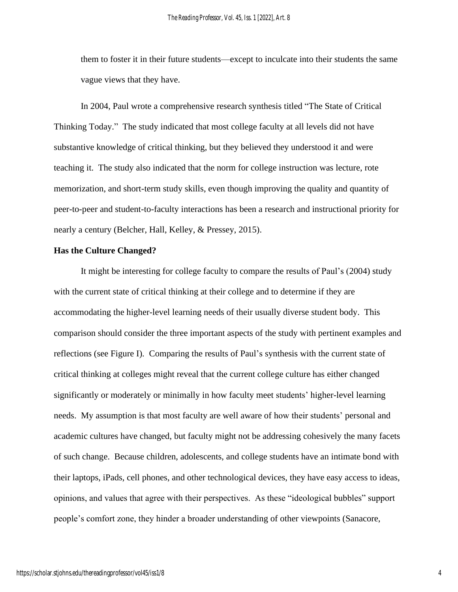them to foster it in their future students—except to inculcate into their students the same vague views that they have.

In 2004, Paul wrote a comprehensive research synthesis titled "The State of Critical Thinking Today." The study indicated that most college faculty at all levels did not have substantive knowledge of critical thinking, but they believed they understood it and were teaching it. The study also indicated that the norm for college instruction was lecture, rote memorization, and short-term study skills, even though improving the quality and quantity of peer-to-peer and student-to-faculty interactions has been a research and instructional priority for nearly a century (Belcher, Hall, Kelley, & Pressey, 2015).

#### **Has the Culture Changed?**

It might be interesting for college faculty to compare the results of Paul's (2004) study with the current state of critical thinking at their college and to determine if they are accommodating the higher-level learning needs of their usually diverse student body. This comparison should consider the three important aspects of the study with pertinent examples and reflections (see Figure I). Comparing the results of Paul's synthesis with the current state of critical thinking at colleges might reveal that the current college culture has either changed significantly or moderately or minimally in how faculty meet students' higher-level learning needs. My assumption is that most faculty are well aware of how their students' personal and academic cultures have changed, but faculty might not be addressing cohesively the many facets of such change. Because children, adolescents, and college students have an intimate bond with their laptops, iPads, cell phones, and other technological devices, they have easy access to ideas, opinions, and values that agree with their perspectives. As these "ideological bubbles" support people's comfort zone, they hinder a broader understanding of other viewpoints (Sanacore,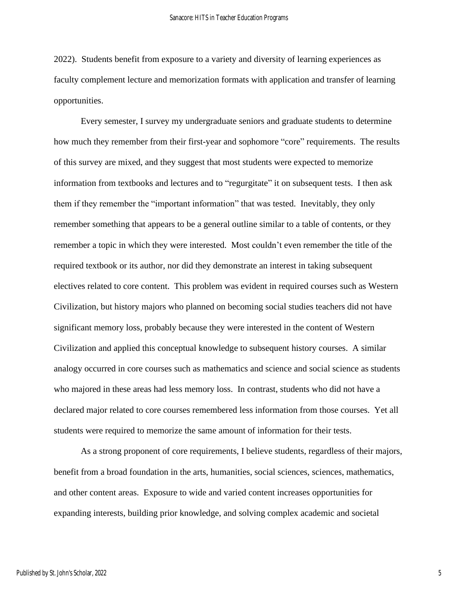2022). Students benefit from exposure to a variety and diversity of learning experiences as faculty complement lecture and memorization formats with application and transfer of learning opportunities.

Every semester, I survey my undergraduate seniors and graduate students to determine how much they remember from their first-year and sophomore "core" requirements. The results of this survey are mixed, and they suggest that most students were expected to memorize information from textbooks and lectures and to "regurgitate" it on subsequent tests. I then ask them if they remember the "important information" that was tested. Inevitably, they only remember something that appears to be a general outline similar to a table of contents, or they remember a topic in which they were interested. Most couldn't even remember the title of the required textbook or its author, nor did they demonstrate an interest in taking subsequent electives related to core content. This problem was evident in required courses such as Western Civilization, but history majors who planned on becoming social studies teachers did not have significant memory loss, probably because they were interested in the content of Western Civilization and applied this conceptual knowledge to subsequent history courses. A similar analogy occurred in core courses such as mathematics and science and social science as students who majored in these areas had less memory loss. In contrast, students who did not have a declared major related to core courses remembered less information from those courses. Yet all students were required to memorize the same amount of information for their tests.

As a strong proponent of core requirements, I believe students, regardless of their majors, benefit from a broad foundation in the arts, humanities, social sciences, sciences, mathematics, and other content areas. Exposure to wide and varied content increases opportunities for expanding interests, building prior knowledge, and solving complex academic and societal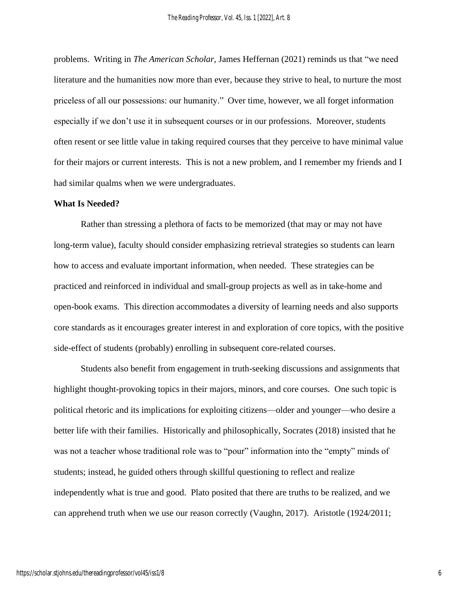problems. Writing in *The American Scholar,* James Heffernan (2021) reminds us that "we need literature and the humanities now more than ever, because they strive to heal, to nurture the most priceless of all our possessions: our humanity." Over time, however, we all forget information especially if we don't use it in subsequent courses or in our professions. Moreover, students often resent or see little value in taking required courses that they perceive to have minimal value for their majors or current interests. This is not a new problem, and I remember my friends and I had similar qualms when we were undergraduates.

#### **What Is Needed?**

Rather than stressing a plethora of facts to be memorized (that may or may not have long-term value), faculty should consider emphasizing retrieval strategies so students can learn how to access and evaluate important information, when needed. These strategies can be practiced and reinforced in individual and small-group projects as well as in take-home and open-book exams. This direction accommodates a diversity of learning needs and also supports core standards as it encourages greater interest in and exploration of core topics, with the positive side-effect of students (probably) enrolling in subsequent core-related courses.

Students also benefit from engagement in truth-seeking discussions and assignments that highlight thought-provoking topics in their majors, minors, and core courses. One such topic is political rhetoric and its implications for exploiting citizens—older and younger—who desire a better life with their families. Historically and philosophically, Socrates (2018) insisted that he was not a teacher whose traditional role was to "pour" information into the "empty" minds of students; instead, he guided others through skillful questioning to reflect and realize independently what is true and good. Plato posited that there are truths to be realized, and we can apprehend truth when we use our reason correctly (Vaughn, 2017). Aristotle (1924/2011;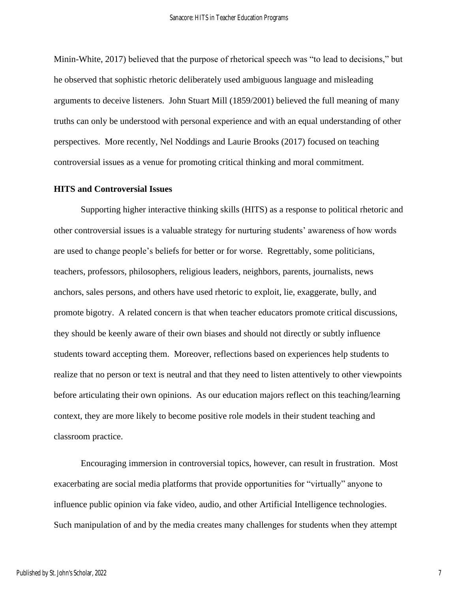Minin-White, 2017) believed that the purpose of rhetorical speech was "to lead to decisions," but he observed that sophistic rhetoric deliberately used ambiguous language and misleading arguments to deceive listeners. John Stuart Mill (1859/2001) believed the full meaning of many truths can only be understood with personal experience and with an equal understanding of other perspectives. More recently, Nel Noddings and Laurie Brooks (2017) focused on teaching controversial issues as a venue for promoting critical thinking and moral commitment.

#### **HITS and Controversial Issues**

Supporting higher interactive thinking skills (HITS) as a response to political rhetoric and other controversial issues is a valuable strategy for nurturing students' awareness of how words are used to change people's beliefs for better or for worse. Regrettably, some politicians, teachers, professors, philosophers, religious leaders, neighbors, parents, journalists, news anchors, sales persons, and others have used rhetoric to exploit, lie, exaggerate, bully, and promote bigotry. A related concern is that when teacher educators promote critical discussions, they should be keenly aware of their own biases and should not directly or subtly influence students toward accepting them. Moreover, reflections based on experiences help students to realize that no person or text is neutral and that they need to listen attentively to other viewpoints before articulating their own opinions. As our education majors reflect on this teaching/learning context, they are more likely to become positive role models in their student teaching and classroom practice.

Encouraging immersion in controversial topics, however, can result in frustration. Most exacerbating are social media platforms that provide opportunities for "virtually" anyone to influence public opinion via fake video, audio, and other Artificial Intelligence technologies. Such manipulation of and by the media creates many challenges for students when they attempt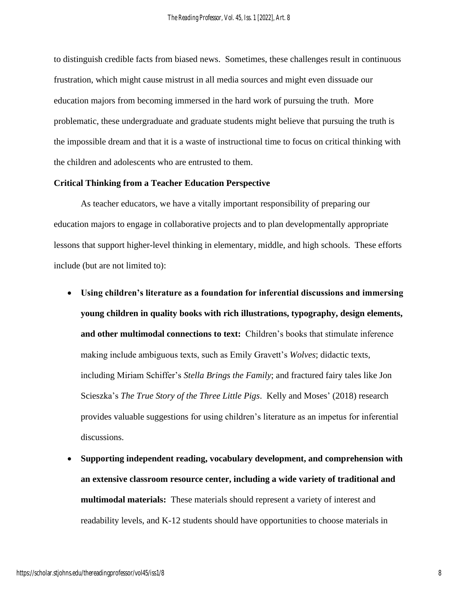to distinguish credible facts from biased news. Sometimes, these challenges result in continuous frustration, which might cause mistrust in all media sources and might even dissuade our education majors from becoming immersed in the hard work of pursuing the truth. More problematic, these undergraduate and graduate students might believe that pursuing the truth is the impossible dream and that it is a waste of instructional time to focus on critical thinking with the children and adolescents who are entrusted to them.

#### **Critical Thinking from a Teacher Education Perspective**

As teacher educators, we have a vitally important responsibility of preparing our education majors to engage in collaborative projects and to plan developmentally appropriate lessons that support higher-level thinking in elementary, middle, and high schools. These efforts include (but are not limited to):

- **Using children's literature as a foundation for inferential discussions and immersing young children in quality books with rich illustrations, typography, design elements, and other multimodal connections to text:** Children's books that stimulate inference making include ambiguous texts, such as Emily Gravett's *Wolves*; didactic texts, including Miriam Schiffer's *Stella Brings the Family*; and fractured fairy tales like Jon Scieszka's *The True Story of the Three Little Pigs*. Kelly and Moses' (2018) research provides valuable suggestions for using children's literature as an impetus for inferential discussions.
- **Supporting independent reading, vocabulary development, and comprehension with an extensive classroom resource center, including a wide variety of traditional and multimodal materials:** These materials should represent a variety of interest and readability levels, and K-12 students should have opportunities to choose materials in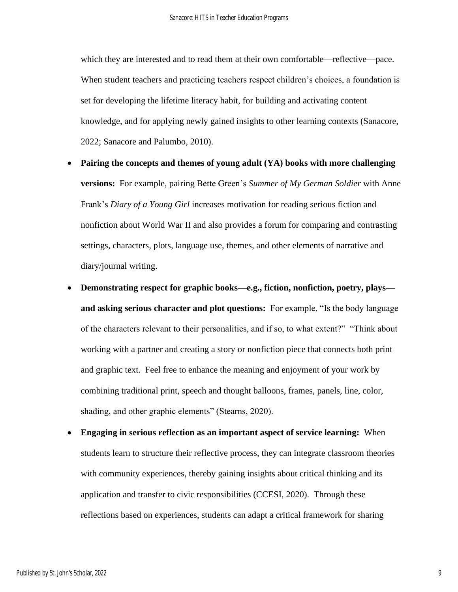which they are interested and to read them at their own comfortable—reflective—pace. When student teachers and practicing teachers respect children's choices, a foundation is set for developing the lifetime literacy habit, for building and activating content knowledge, and for applying newly gained insights to other learning contexts (Sanacore, 2022; Sanacore and Palumbo, 2010).

- **Pairing the concepts and themes of young adult (YA) books with more challenging versions:** For example, pairing Bette Green's *Summer of My German Soldier* with Anne Frank's *Diary of a Young Girl* increases motivation for reading serious fiction and nonfiction about World War II and also provides a forum for comparing and contrasting settings, characters, plots, language use, themes, and other elements of narrative and diary/journal writing.
- **Demonstrating respect for graphic books—e.g., fiction, nonfiction, poetry, plays and asking serious character and plot questions:** For example, "Is the body language of the characters relevant to their personalities, and if so, to what extent?" "Think about working with a partner and creating a story or nonfiction piece that connects both print and graphic text. Feel free to enhance the meaning and enjoyment of your work by combining traditional print, speech and thought balloons, frames, panels, line, color, shading, and other graphic elements" (Stearns, 2020).
- **Engaging in serious reflection as an important aspect of service learning:** When students learn to structure their reflective process, they can integrate classroom theories with community experiences, thereby gaining insights about critical thinking and its application and transfer to civic responsibilities (CCESI, 2020). Through these reflections based on experiences, students can adapt a critical framework for sharing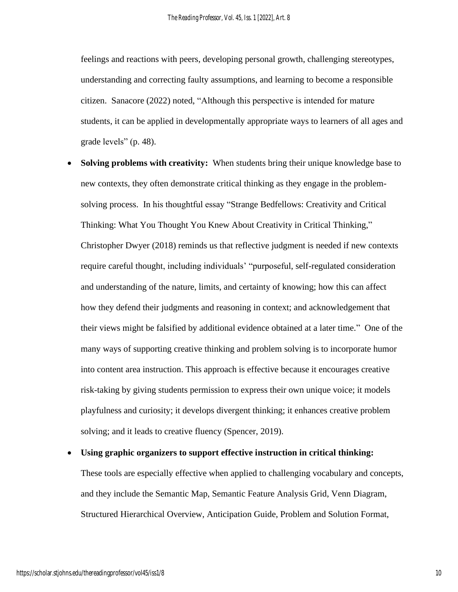feelings and reactions with peers, developing personal growth, challenging stereotypes, understanding and correcting faulty assumptions, and learning to become a responsible citizen. Sanacore (2022) noted, "Although this perspective is intended for mature students, it can be applied in developmentally appropriate ways to learners of all ages and grade levels" (p. 48).

- **Solving problems with creativity:** When students bring their unique knowledge base to new contexts, they often demonstrate critical thinking as they engage in the problemsolving process. In his thoughtful essay "Strange Bedfellows: Creativity and Critical Thinking: What You Thought You Knew About Creativity in Critical Thinking," Christopher Dwyer (2018) reminds us that reflective judgment is needed if new contexts require careful thought, including individuals' "purposeful, self-regulated consideration and understanding of the nature, limits, and certainty of knowing; how this can affect how they defend their judgments and reasoning in context; and acknowledgement that their views might be falsified by additional evidence obtained at a later time." One of the many ways of supporting creative thinking and problem solving is to incorporate humor into content area instruction. This approach is effective because it encourages creative risk-taking by giving students permission to express their own unique voice; it models playfulness and curiosity; it develops divergent thinking; it enhances creative problem solving; and it leads to creative fluency (Spencer, 2019).
- **Using graphic organizers to support effective instruction in critical thinking:** These tools are especially effective when applied to challenging vocabulary and concepts, and they include the Semantic Map, Semantic Feature Analysis Grid, Venn Diagram, Structured Hierarchical Overview, Anticipation Guide, Problem and Solution Format,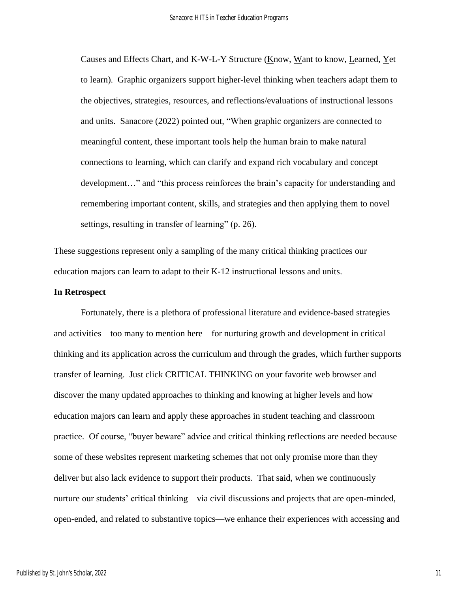Causes and Effects Chart, and K-W-L-Y Structure (Know, Want to know, Learned, Yet to learn). Graphic organizers support higher-level thinking when teachers adapt them to the objectives, strategies, resources, and reflections/evaluations of instructional lessons and units. Sanacore (2022) pointed out, "When graphic organizers are connected to meaningful content, these important tools help the human brain to make natural connections to learning, which can clarify and expand rich vocabulary and concept development…" and "this process reinforces the brain's capacity for understanding and remembering important content, skills, and strategies and then applying them to novel settings, resulting in transfer of learning" (p. 26).

These suggestions represent only a sampling of the many critical thinking practices our education majors can learn to adapt to their K-12 instructional lessons and units.

#### **In Retrospect**

Fortunately, there is a plethora of professional literature and evidence-based strategies and activities—too many to mention here—for nurturing growth and development in critical thinking and its application across the curriculum and through the grades, which further supports transfer of learning. Just click CRITICAL THINKING on your favorite web browser and discover the many updated approaches to thinking and knowing at higher levels and how education majors can learn and apply these approaches in student teaching and classroom practice. Of course, "buyer beware" advice and critical thinking reflections are needed because some of these websites represent marketing schemes that not only promise more than they deliver but also lack evidence to support their products. That said, when we continuously nurture our students' critical thinking—via civil discussions and projects that are open-minded, open-ended, and related to substantive topics—we enhance their experiences with accessing and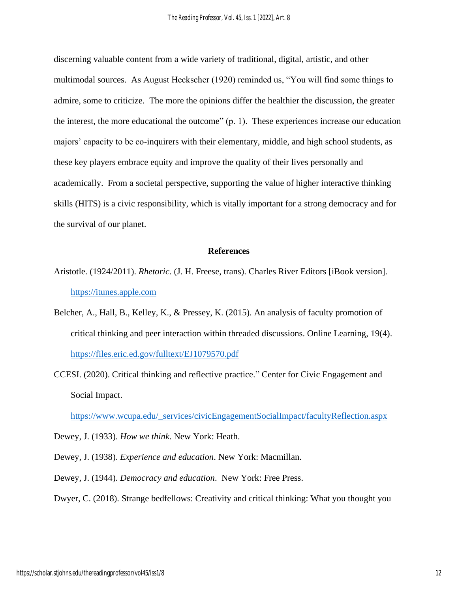discerning valuable content from a wide variety of traditional, digital, artistic, and other multimodal sources. As August Heckscher (1920) reminded us, "You will find some things to admire, some to criticize. The more the opinions differ the healthier the discussion, the greater the interest, the more educational the outcome" (p. 1). These experiences increase our education majors' capacity to be co-inquirers with their elementary, middle, and high school students, as these key players embrace equity and improve the quality of their lives personally and academically. From a societal perspective, supporting the value of higher interactive thinking skills (HITS) is a civic responsibility, which is vitally important for a strong democracy and for the survival of our planet.

#### **References**

- Aristotle. (1924/2011). *Rhetoric*. (J. H. Freese, trans). Charles River Editors [iBook version]. [https://itunes.apple.com](https://itunes.apple.com/)
- Belcher, A., Hall, B., Kelley, K., & Pressey, K. (2015). An analysis of faculty promotion of critical thinking and peer interaction within threaded discussions. Online Learning, 19(4). <https://files.eric.ed.gov/fulltext/EJ1079570.pdf>
- CCESI. (2020). Critical thinking and reflective practice." Center for Civic Engagement and Social Impact.

[https://www.wcupa.edu/\\_services/civicEngagementSocialImpact/facultyReflection.aspx](https://www.wcupa.edu/_services/civicEngagementSocialImpact/facultyReflection.aspx)

Dewey, J. (1933). *How we think*. New York: Heath.

Dewey, J. (1938). *Experience and education*. New York: Macmillan.

Dewey, J. (1944). *Democracy and education*. New York: Free Press.

Dwyer, C. (2018). Strange bedfellows: Creativity and critical thinking: What you thought you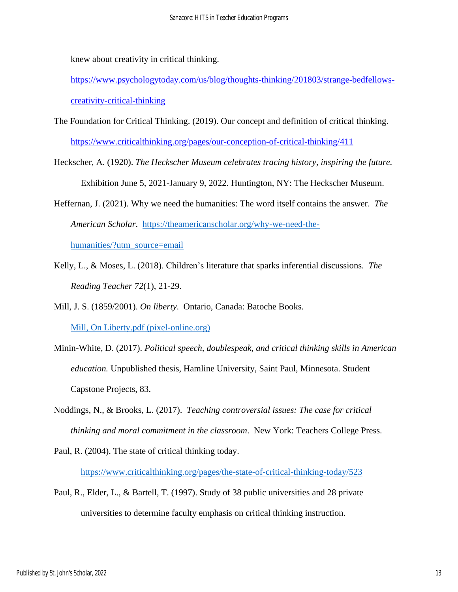knew about creativity in critical thinking.

[https://www.psychologytoday.com/us/blog/thoughts-thinking/201803/strange-bedfellows](https://www.psychologytoday.com/us/blog/thoughts-thinking/201803/strange-bedfellows-creativity-critical-thinking)[creativity-critical-thinking](https://www.psychologytoday.com/us/blog/thoughts-thinking/201803/strange-bedfellows-creativity-critical-thinking)

- The Foundation for Critical Thinking. (2019). Our concept and definition of critical thinking. <https://www.criticalthinking.org/pages/our-conception-of-critical-thinking/411>
- Heckscher, A. (1920). *The Heckscher Museum celebrates tracing history, inspiring the future.*  Exhibition June 5, 2021-January 9, 2022. Huntington, NY: The Heckscher Museum.
- Heffernan, J. (2021). Why we need the humanities: The word itself contains the answer. *The American Scholar*. [https://theamericanscholar.org/why-we-need-the](https://theamericanscholar.org/why-we-need-the-humanities/?utm_source=email)[humanities/?utm\\_source=email](https://theamericanscholar.org/why-we-need-the-humanities/?utm_source=email)
- Kelly, L., & Moses, L. (2018). Children's literature that sparks inferential discussions. *The Reading Teacher 72*(1), 21-29.
- Mill, J. S. (1859/2001). *On liberty*. Ontario, Canada: Batoche Books. [Mill, On Liberty.pdf \(pixel-online.org\)](https://eet.pixel-online.org/files/etranslation/original/Mill,%20On%20Liberty.pdf)
- Minin-White, D. (2017). *Political speech, doublespeak, and critical thinking skills in American education.* Unpublished thesis, Hamline University, Saint Paul, Minnesota. Student Capstone Projects, 83.
- Noddings, N., & Brooks, L. (2017). *Teaching controversial issues: The case for critical thinking and moral commitment in the classroom*. New York: Teachers College Press.
- Paul, R. (2004). The state of critical thinking today.

<https://www.criticalthinking.org/pages/the-state-of-critical-thinking-today/523>

Paul, R., Elder, L., & Bartell, T. (1997). Study of 38 public universities and 28 private universities to determine faculty emphasis on critical thinking instruction.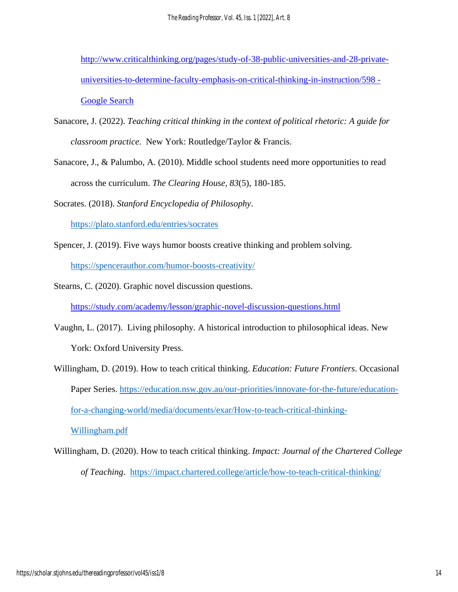*The Reading Professor, Vol. 45, Iss. 1 [2022], Art. 8*

[http://www.criticalthinking.org/pages/study-of-38-public-universities-and-28-private](https://www.google.com/search?q=http%3A%2F%2Fwww.criticalthinking.org%2Fpages%2Fstudy-of-38-public-universities-and-28-private-universities-to-determine-faculty-emphasis-on-critical-thinking-in-instruction%2F598&source=hp&ei=F5kSYoPQNejOytMP6qGQ-AU&iflsig=AHkkrS4AAAAAYhKnJ_q-mPLRw9zH0o7WDFZ4tFpnCa7I&ved=0ahUKEwjDt5LEhI_2AhVop3IEHeoQBF8Q4dUDCAk&uact=5&oq=http%3A%2F%2Fwww.criticalthinking.org%2Fpages%2Fstudy-of-38-public-universities-and-28-private-universities-to-determine-faculty-emphasis-on-critical-thinking-in-instruction%2F598&gs_lcp=Cgdnd3Mtd2l6EANQAFgAYIkWaABwAHgAgAEAiAEAkgEAmAEAoAECoAEB&sclient=gws-wiz)[universities-to-determine-faculty-emphasis-on-critical-thinking-in-instruction/598 -](https://www.google.com/search?q=http%3A%2F%2Fwww.criticalthinking.org%2Fpages%2Fstudy-of-38-public-universities-and-28-private-universities-to-determine-faculty-emphasis-on-critical-thinking-in-instruction%2F598&source=hp&ei=F5kSYoPQNejOytMP6qGQ-AU&iflsig=AHkkrS4AAAAAYhKnJ_q-mPLRw9zH0o7WDFZ4tFpnCa7I&ved=0ahUKEwjDt5LEhI_2AhVop3IEHeoQBF8Q4dUDCAk&uact=5&oq=http%3A%2F%2Fwww.criticalthinking.org%2Fpages%2Fstudy-of-38-public-universities-and-28-private-universities-to-determine-faculty-emphasis-on-critical-thinking-in-instruction%2F598&gs_lcp=Cgdnd3Mtd2l6EANQAFgAYIkWaABwAHgAgAEAiAEAkgEAmAEAoAECoAEB&sclient=gws-wiz) [Google Search](https://www.google.com/search?q=http%3A%2F%2Fwww.criticalthinking.org%2Fpages%2Fstudy-of-38-public-universities-and-28-private-universities-to-determine-faculty-emphasis-on-critical-thinking-in-instruction%2F598&source=hp&ei=F5kSYoPQNejOytMP6qGQ-AU&iflsig=AHkkrS4AAAAAYhKnJ_q-mPLRw9zH0o7WDFZ4tFpnCa7I&ved=0ahUKEwjDt5LEhI_2AhVop3IEHeoQBF8Q4dUDCAk&uact=5&oq=http%3A%2F%2Fwww.criticalthinking.org%2Fpages%2Fstudy-of-38-public-universities-and-28-private-universities-to-determine-faculty-emphasis-on-critical-thinking-in-instruction%2F598&gs_lcp=Cgdnd3Mtd2l6EANQAFgAYIkWaABwAHgAgAEAiAEAkgEAmAEAoAECoAEB&sclient=gws-wiz)

- Sanacore, J. (2022). *Teaching critical thinking in the context of political rhetoric: A guide for classroom practice*. New York: Routledge/Taylor & Francis.
- Sanacore, J., & Palumbo, A. (2010). Middle school students need more opportunities to read across the curriculum. *The Clearing House, 83*(5), 180-185.

Socrates. (2018). *Stanford Encyclopedia of Philosophy*.

<https://plato.stanford.edu/entries/socrates>

- Spencer, J. (2019). Five ways humor boosts creative thinking and problem solving. <https://spencerauthor.com/humor-boosts-creativity/>
- Stearns, C. (2020). Graphic novel discussion questions.

<https://study.com/academy/lesson/graphic-novel-discussion-questions.html>

- Vaughn, L. (2017). Living philosophy*.* A historical introduction to philosophical ideas. New York: Oxford University Press.
- Willingham, D. (2019). How to teach critical thinking. *Education: Future Frontiers*. Occasional Paper Series. [https://education.nsw.gov.au/our-priorities/innovate-for-the-future/education](https://education.nsw.gov.au/our-priorities/innovate-for-the-future/education-for-a-changing-world/media/documents/exar/How-to-teach-critical-thinking-Willingham.pdf)[for-a-changing-world/media/documents/exar/How-to-teach-critical-thinking-](https://education.nsw.gov.au/our-priorities/innovate-for-the-future/education-for-a-changing-world/media/documents/exar/How-to-teach-critical-thinking-Willingham.pdf)[Willingham.pdf](https://education.nsw.gov.au/our-priorities/innovate-for-the-future/education-for-a-changing-world/media/documents/exar/How-to-teach-critical-thinking-Willingham.pdf)
- Willingham, D. (2020). How to teach critical thinking. *Impact: Journal of the Chartered College of Teaching*. <https://impact.chartered.college/article/how-to-teach-critical-thinking/>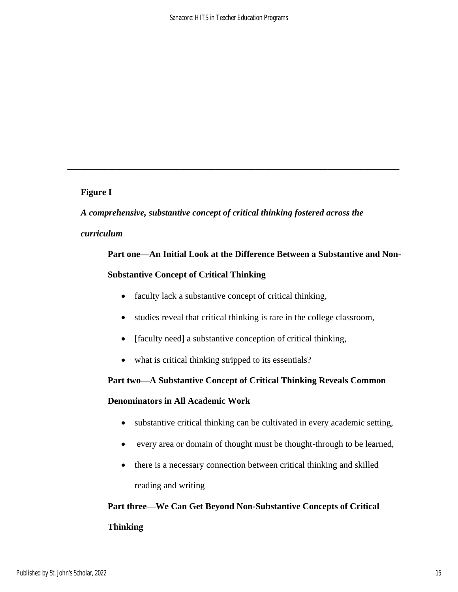## **Figure I**

*A comprehensive, substantive concept of critical thinking fostered across the* 

\_\_\_\_\_\_\_\_\_\_\_\_\_\_\_\_\_\_\_\_\_\_\_\_\_\_\_\_\_\_\_\_\_\_\_\_\_\_\_\_\_\_\_\_\_\_\_\_\_\_\_\_\_\_\_\_\_\_\_\_\_\_\_\_\_\_\_\_\_\_\_\_\_\_

## *curriculum*

# **Part one—An Initial Look at the Difference Between a Substantive and Non-Substantive Concept of Critical Thinking**

- faculty lack a substantive concept of critical thinking,
- studies reveal that critical thinking is rare in the college classroom,
- [faculty need] a substantive conception of critical thinking,
- what is critical thinking stripped to its essentials?

## **Part two—A Substantive Concept of Critical Thinking Reveals Common**

## **Denominators in All Academic Work**

- substantive critical thinking can be cultivated in every academic setting,
- every area or domain of thought must be thought-through to be learned,
- there is a necessary connection between critical thinking and skilled reading and writing

# **Part three—We Can Get Beyond Non-Substantive Concepts of Critical Thinking**